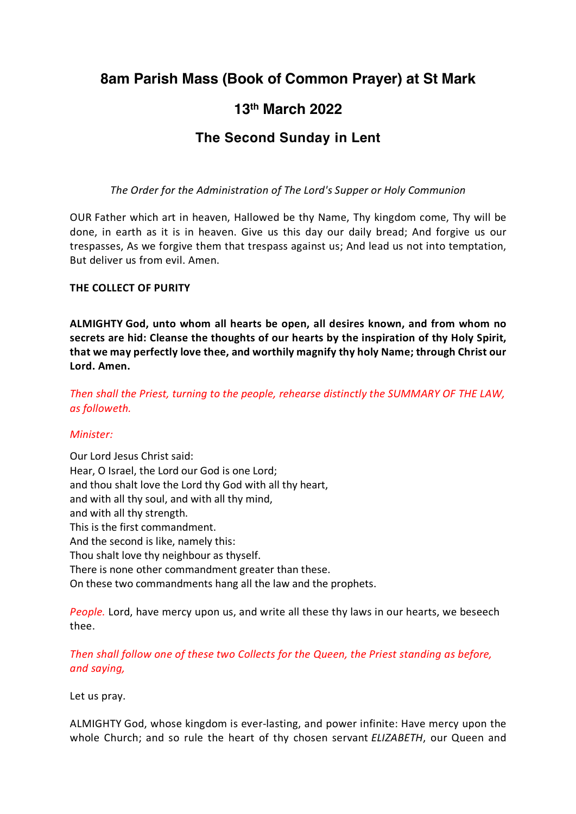# **8am Parish Mass (Book of Common Prayer) at St Mark**

# **13th March 2022**

# **The Second Sunday in Lent**

*The Order for the Administration of The Lord's Supper or Holy Communion*

OUR Father which art in heaven, Hallowed be thy Name, Thy kingdom come, Thy will be done, in earth as it is in heaven. Give us this day our daily bread; And forgive us our trespasses, As we forgive them that trespass against us; And lead us not into temptation, But deliver us from evil. Amen.

#### **THE COLLECT OF PURITY**

**ALMIGHTY God, unto whom all hearts be open, all desires known, and from whom no secrets are hid: Cleanse the thoughts of our hearts by the inspiration of thy Holy Spirit, that we may perfectly love thee, and worthily magnify thy holy Name; through Christ our Lord. Amen.**

*Then shall the Priest, turning to the people, rehearse distinctly the SUMMARY OF THE LAW, as followeth.*

#### *Minister:*

Our Lord Jesus Christ said: Hear, O Israel, the Lord our God is one Lord; and thou shalt love the Lord thy God with all thy heart, and with all thy soul, and with all thy mind, and with all thy strength. This is the first commandment. And the second is like, namely this: Thou shalt love thy neighbour as thyself. There is none other commandment greater than these. On these two commandments hang all the law and the prophets.

*People.* Lord, have mercy upon us, and write all these thy laws in our hearts, we beseech thee.

*Then shall follow one of these two Collects for the Queen, the Priest standing as before, and saying,*

Let us pray.

ALMIGHTY God, whose kingdom is ever-lasting, and power infinite: Have mercy upon the whole Church; and so rule the heart of thy chosen servant *ELIZABETH*, our Queen and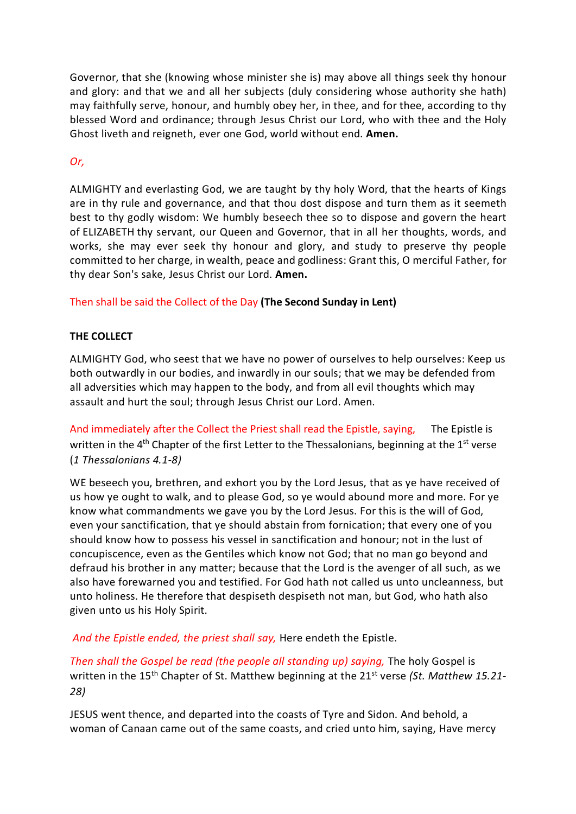Governor, that she (knowing whose minister she is) may above all things seek thy honour and glory: and that we and all her subjects (duly considering whose authority she hath) may faithfully serve, honour, and humbly obey her, in thee, and for thee, according to thy blessed Word and ordinance; through Jesus Christ our Lord, who with thee and the Holy Ghost liveth and reigneth, ever one God, world without end. **Amen.**

# *Or,*

ALMIGHTY and everlasting God, we are taught by thy holy Word, that the hearts of Kings are in thy rule and governance, and that thou dost dispose and turn them as it seemeth best to thy godly wisdom: We humbly beseech thee so to dispose and govern the heart of ELIZABETH thy servant, our Queen and Governor, that in all her thoughts, words, and works, she may ever seek thy honour and glory, and study to preserve thy people committed to her charge, in wealth, peace and godliness: Grant this, O merciful Father, for thy dear Son's sake, Jesus Christ our Lord. **Amen.**

## Then shall be said the Collect of the Day **(The Second Sunday in Lent)**

## **THE COLLECT**

ALMIGHTY God, who seest that we have no power of ourselves to help ourselves: Keep us both outwardly in our bodies, and inwardly in our souls; that we may be defended from all adversities which may happen to the body, and from all evil thoughts which may assault and hurt the soul; through Jesus Christ our Lord. Amen.

And immediately after the Collect the Priest shall read the Epistle, saying, The Epistle is written in the 4<sup>th</sup> Chapter of the first Letter to the Thessalonians, beginning at the 1<sup>st</sup> verse (*1 Thessalonians 4.1-8)*

WE beseech you, brethren, and exhort you by the Lord Jesus, that as ye have received of us how ye ought to walk, and to please God, so ye would abound more and more. For ye know what commandments we gave you by the Lord Jesus. For this is the will of God, even your sanctification, that ye should abstain from fornication; that every one of you should know how to possess his vessel in sanctification and honour; not in the lust of concupiscence, even as the Gentiles which know not God; that no man go beyond and defraud his brother in any matter; because that the Lord is the avenger of all such, as we also have forewarned you and testified. For God hath not called us unto uncleanness, but unto holiness. He therefore that despiseth despiseth not man, but God, who hath also given unto us his Holy Spirit.

*And the Epistle ended, the priest shall say,* Here endeth the Epistle.

*Then shall the Gospel be read (the people all standing up) saying,* The holy Gospel is written in the 15<sup>th</sup> Chapter of St. Matthew beginning at the 21<sup>st</sup> verse *(St. Matthew 15.21-28)*

JESUS went thence, and departed into the coasts of Tyre and Sidon. And behold, a woman of Canaan came out of the same coasts, and cried unto him, saying, Have mercy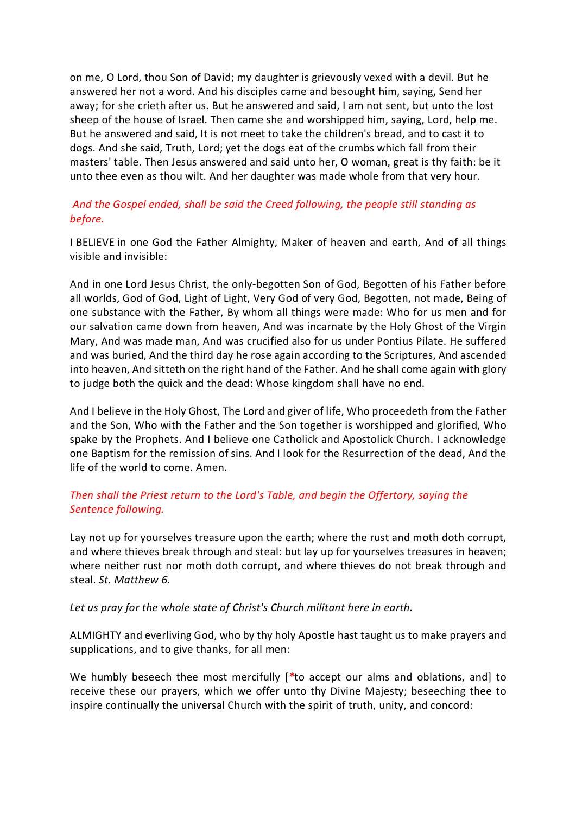on me, O Lord, thou Son of David; my daughter is grievously vexed with a devil. But he answered her not a word. And his disciples came and besought him, saying, Send her away; for she crieth after us. But he answered and said, I am not sent, but unto the lost sheep of the house of Israel. Then came she and worshipped him, saying, Lord, help me. But he answered and said, It is not meet to take the children's bread, and to cast it to dogs. And she said, Truth, Lord; yet the dogs eat of the crumbs which fall from their masters' table. Then Jesus answered and said unto her, O woman, great is thy faith: be it unto thee even as thou wilt. And her daughter was made whole from that very hour.

# *And the Gospel ended, shall be said the Creed following, the people still standing as before.*

I BELIEVE in one God the Father Almighty, Maker of heaven and earth, And of all things visible and invisible:

And in one Lord Jesus Christ, the only-begotten Son of God, Begotten of his Father before all worlds, God of God, Light of Light, Very God of very God, Begotten, not made, Being of one substance with the Father, By whom all things were made: Who for us men and for our salvation came down from heaven, And was incarnate by the Holy Ghost of the Virgin Mary, And was made man, And was crucified also for us under Pontius Pilate. He suffered and was buried, And the third day he rose again according to the Scriptures, And ascended into heaven, And sitteth on the right hand of the Father. And he shall come again with glory to judge both the quick and the dead: Whose kingdom shall have no end.

And I believe in the Holy Ghost, The Lord and giver of life, Who proceedeth from the Father and the Son, Who with the Father and the Son together is worshipped and glorified, Who spake by the Prophets. And I believe one Catholick and Apostolick Church. I acknowledge one Baptism for the remission of sins. And I look for the Resurrection of the dead, And the life of the world to come. Amen.

## *Then shall the Priest return to the Lord's Table, and begin the Offertory, saying the Sentence following.*

Lay not up for yourselves treasure upon the earth; where the rust and moth doth corrupt, and where thieves break through and steal: but lay up for yourselves treasures in heaven; where neither rust nor moth doth corrupt, and where thieves do not break through and steal. *St. Matthew 6.*

#### *Let us pray for the whole state of Christ's Church militant here in earth.*

ALMIGHTY and everliving God, who by thy holy Apostle hast taught us to make prayers and supplications, and to give thanks, for all men:

We humbly beseech thee most mercifully [*\**to accept our alms and oblations, and] to receive these our prayers, which we offer unto thy Divine Majesty; beseeching thee to inspire continually the universal Church with the spirit of truth, unity, and concord: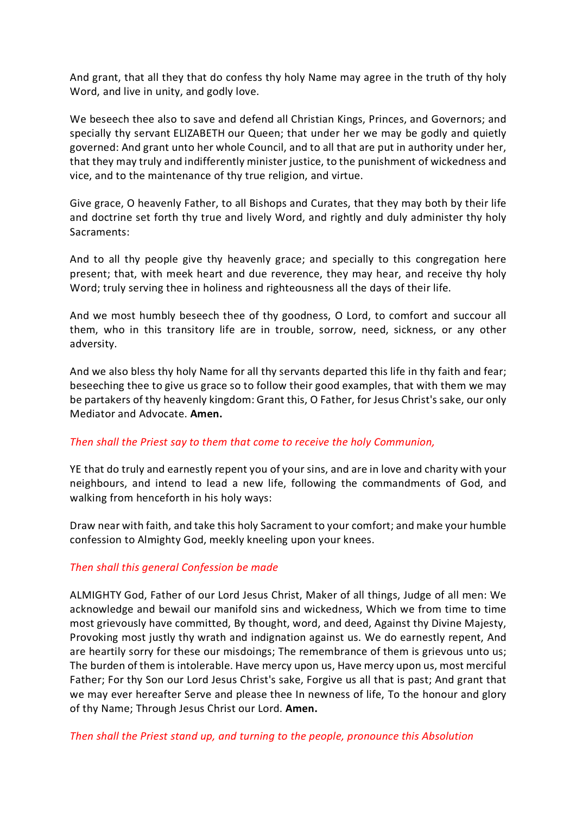And grant, that all they that do confess thy holy Name may agree in the truth of thy holy Word, and live in unity, and godly love.

We beseech thee also to save and defend all Christian Kings, Princes, and Governors; and specially thy servant ELIZABETH our Queen; that under her we may be godly and quietly governed: And grant unto her whole Council, and to all that are put in authority under her, that they may truly and indifferently minister justice, to the punishment of wickedness and vice, and to the maintenance of thy true religion, and virtue.

Give grace, O heavenly Father, to all Bishops and Curates, that they may both by their life and doctrine set forth thy true and lively Word, and rightly and duly administer thy holy Sacraments:

And to all thy people give thy heavenly grace; and specially to this congregation here present; that, with meek heart and due reverence, they may hear, and receive thy holy Word; truly serving thee in holiness and righteousness all the days of their life.

And we most humbly beseech thee of thy goodness, O Lord, to comfort and succour all them, who in this transitory life are in trouble, sorrow, need, sickness, or any other adversity.

And we also bless thy holy Name for all thy servants departed this life in thy faith and fear; beseeching thee to give us grace so to follow their good examples, that with them we may be partakers of thy heavenly kingdom: Grant this, O Father, for Jesus Christ's sake, our only Mediator and Advocate. **Amen.**

#### *Then shall the Priest say to them that come to receive the holy Communion,*

YE that do truly and earnestly repent you of your sins, and are in love and charity with your neighbours, and intend to lead a new life, following the commandments of God, and walking from henceforth in his holy ways:

Draw near with faith, and take this holy Sacrament to your comfort; and make your humble confession to Almighty God, meekly kneeling upon your knees.

#### *Then shall this general Confession be made*

ALMIGHTY God, Father of our Lord Jesus Christ, Maker of all things, Judge of all men: We acknowledge and bewail our manifold sins and wickedness, Which we from time to time most grievously have committed, By thought, word, and deed, Against thy Divine Majesty, Provoking most justly thy wrath and indignation against us. We do earnestly repent, And are heartily sorry for these our misdoings; The remembrance of them is grievous unto us; The burden of them is intolerable. Have mercy upon us, Have mercy upon us, most merciful Father; For thy Son our Lord Jesus Christ's sake, Forgive us all that is past; And grant that we may ever hereafter Serve and please thee In newness of life, To the honour and glory of thy Name; Through Jesus Christ our Lord. **Amen.**

*Then shall the Priest stand up, and turning to the people, pronounce this Absolution*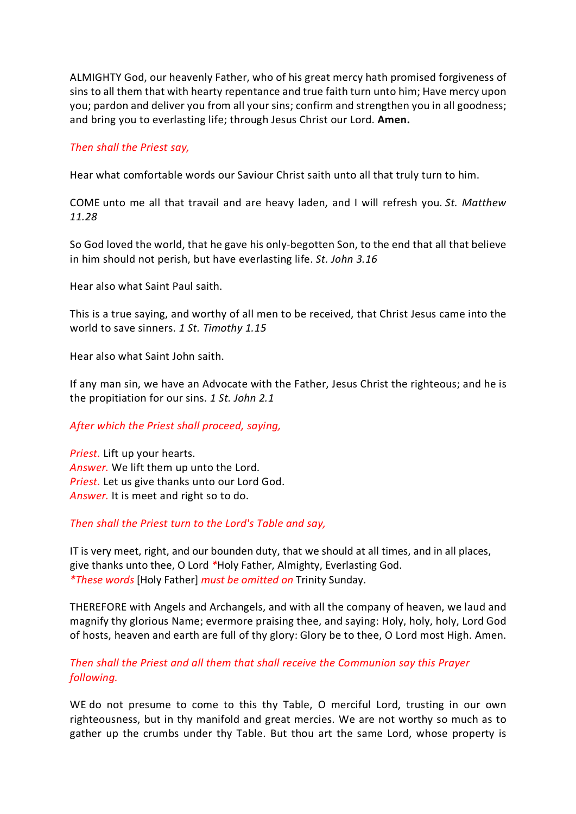ALMIGHTY God, our heavenly Father, who of his great mercy hath promised forgiveness of sins to all them that with hearty repentance and true faith turn unto him; Have mercy upon you; pardon and deliver you from all your sins; confirm and strengthen you in all goodness; and bring you to everlasting life; through Jesus Christ our Lord. **Amen.**

#### *Then shall the Priest say,*

Hear what comfortable words our Saviour Christ saith unto all that truly turn to him.

COME unto me all that travail and are heavy laden, and I will refresh you. *St. Matthew 11.28*

So God loved the world, that he gave his only-begotten Son, to the end that all that believe in him should not perish, but have everlasting life. *St. John 3.16*

Hear also what Saint Paul saith.

This is a true saying, and worthy of all men to be received, that Christ Jesus came into the world to save sinners. *1 St. Timothy 1.15*

Hear also what Saint John saith.

If any man sin, we have an Advocate with the Father, Jesus Christ the righteous; and he is the propitiation for our sins. *1 St. John 2.1*

#### *After which the Priest shall proceed, saying,*

*Priest.* Lift up your hearts. *Answer.* We lift them up unto the Lord. *Priest.* Let us give thanks unto our Lord God. *Answer.* It is meet and right so to do.

#### *Then shall the Priest turn to the Lord's Table and say,*

IT is very meet, right, and our bounden duty, that we should at all times, and in all places, give thanks unto thee, O Lord *\**Holy Father, Almighty, Everlasting God. *\*These words* [Holy Father] *must be omitted on* Trinity Sunday.

THEREFORE with Angels and Archangels, and with all the company of heaven, we laud and magnify thy glorious Name; evermore praising thee, and saying: Holy, holy, holy, Lord God of hosts, heaven and earth are full of thy glory: Glory be to thee, O Lord most High. Amen.

## *Then shall the Priest and all them that shall receive the Communion say this Prayer following.*

WE do not presume to come to this thy Table, O merciful Lord, trusting in our own righteousness, but in thy manifold and great mercies. We are not worthy so much as to gather up the crumbs under thy Table. But thou art the same Lord, whose property is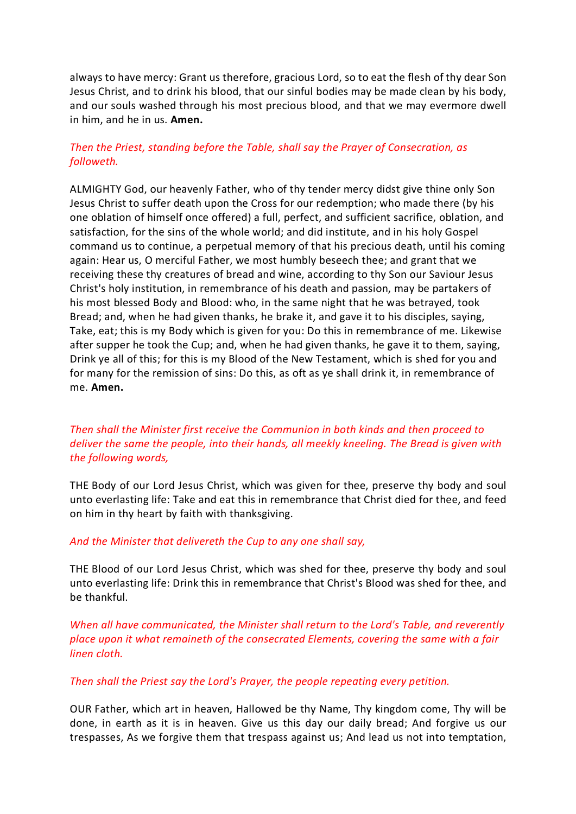always to have mercy: Grant us therefore, gracious Lord, so to eat the flesh of thy dear Son Jesus Christ, and to drink his blood, that our sinful bodies may be made clean by his body, and our souls washed through his most precious blood, and that we may evermore dwell in him, and he in us. **Amen.**

# *Then the Priest, standing before the Table, shall say the Prayer of Consecration, as followeth.*

ALMIGHTY God, our heavenly Father, who of thy tender mercy didst give thine only Son Jesus Christ to suffer death upon the Cross for our redemption; who made there (by his one oblation of himself once offered) a full, perfect, and sufficient sacrifice, oblation, and satisfaction, for the sins of the whole world; and did institute, and in his holy Gospel command us to continue, a perpetual memory of that his precious death, until his coming again: Hear us, O merciful Father, we most humbly beseech thee; and grant that we receiving these thy creatures of bread and wine, according to thy Son our Saviour Jesus Christ's holy institution, in remembrance of his death and passion, may be partakers of his most blessed Body and Blood: who, in the same night that he was betrayed, took Bread; and, when he had given thanks, he brake it, and gave it to his disciples, saying, Take, eat; this is my Body which is given for you: Do this in remembrance of me. Likewise after supper he took the Cup; and, when he had given thanks, he gave it to them, saying, Drink ye all of this; for this is my Blood of the New Testament, which is shed for you and for many for the remission of sins: Do this, as oft as ye shall drink it, in remembrance of me. **Amen.**

# *Then shall the Minister first receive the Communion in both kinds and then proceed to deliver the same the people, into their hands, all meekly kneeling. The Bread is given with the following words,*

THE Body of our Lord Jesus Christ, which was given for thee, preserve thy body and soul unto everlasting life: Take and eat this in remembrance that Christ died for thee, and feed on him in thy heart by faith with thanksgiving.

#### *And the Minister that delivereth the Cup to any one shall say,*

THE Blood of our Lord Jesus Christ, which was shed for thee, preserve thy body and soul unto everlasting life: Drink this in remembrance that Christ's Blood was shed for thee, and be thankful.

*When all have communicated, the Minister shall return to the Lord's Table, and reverently place upon it what remaineth of the consecrated Elements, covering the same with a fair linen cloth.*

#### *Then shall the Priest say the Lord's Prayer, the people repeating every petition.*

OUR Father, which art in heaven, Hallowed be thy Name, Thy kingdom come, Thy will be done, in earth as it is in heaven. Give us this day our daily bread; And forgive us our trespasses, As we forgive them that trespass against us; And lead us not into temptation,